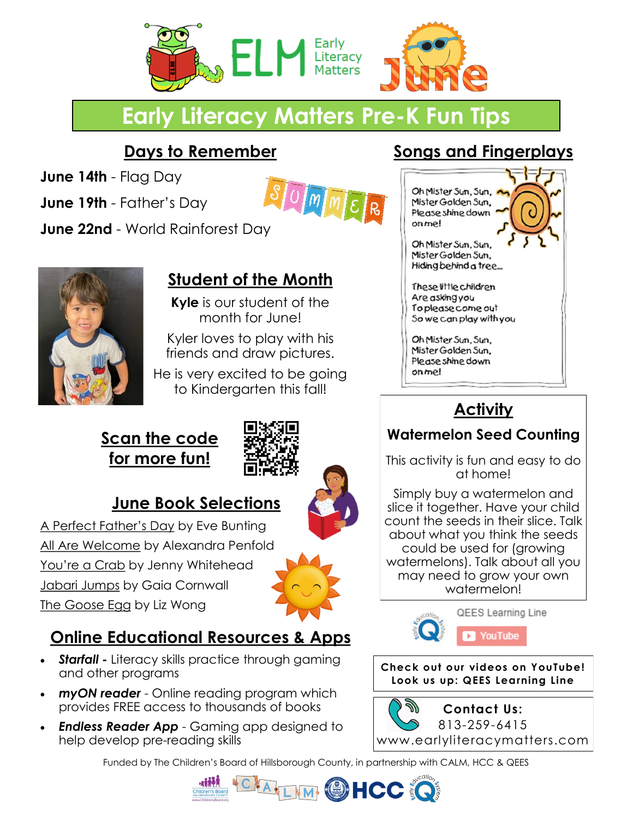

# **Early Literacy Matters Pre-K Fun Tips**

### **Days to Remember**

**June 14th** - Flag Day

**June 19th** - Father's Day



**June 22nd** - World Rainforest Day



## **Student of the Month**

**Kyle** is our student of the month for June!

Kyler loves to play with his friends and draw pictures.

He is very excited to be going to Kindergarten this fall!

#### **Scan the code for more fun!**



#### **June Book Selections**

A Perfect Father's Day by Eve Bunting All Are Welcome by Alexandra Penfold You're a Crab by Jenny Whitehead Jabari Jumps by Gaia Cornwall The Goose Egg by Liz Wong



#### **Online Educational Resources & Apps**

- *Starfall Literacy skills practice through gaming* and other programs
- *myON reader* Online reading program which provides FREE access to thousands of books
- *Endless Reader App* Gaming app designed to help develop pre-reading skills

#### To please come out So we can play with you

Oh Mister Sun, Sun, Mister Golden Sun. Please shine down on me!

Oh Mister Sun, Sun, Mister Golden Sun. Please shine down

Oh Mister Sun, Sun, Mister Golden Sun. Hiding behind a tree...

These little children Are asking you

on me!

#### **Activity**

**Songs and Fingerplays**

#### **Watermelon Seed Counting**

This activity is fun and easy to do at home!

Simply buy a watermelon and slice it together. Have your child count the seeds in their slice. Talk about what you think the seeds could be used for (growing watermelons). Talk about all you may need to grow your own watermelon!



**Check out our videos on YouTube! Look us up: QEES Learning Line**

グリ **Contact Us:** 813-259-6415 <www.earlyliteracymatters.com>

Funded by The Children's Board of Hillsborough County, in partnership with CALM, HCC & QEES